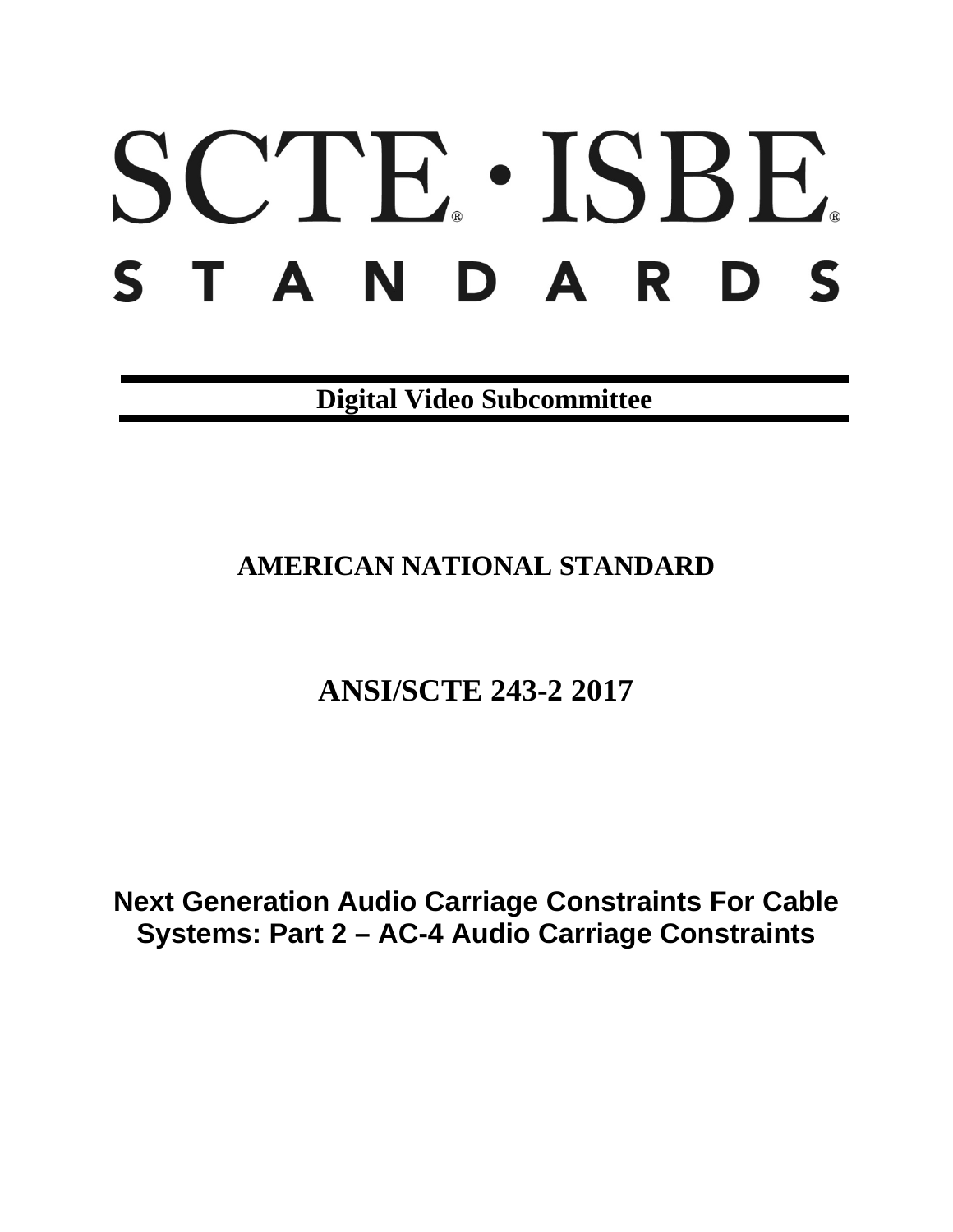# SCTE · ISBE. STANDARDS

**Digital Video Subcommittee**

# **AMERICAN NATIONAL STANDARD**

# **ANSI/SCTE 243-2 2017**

**Next Generation Audio Carriage Constraints For Cable Systems: Part 2 – AC-4 Audio Carriage Constraints**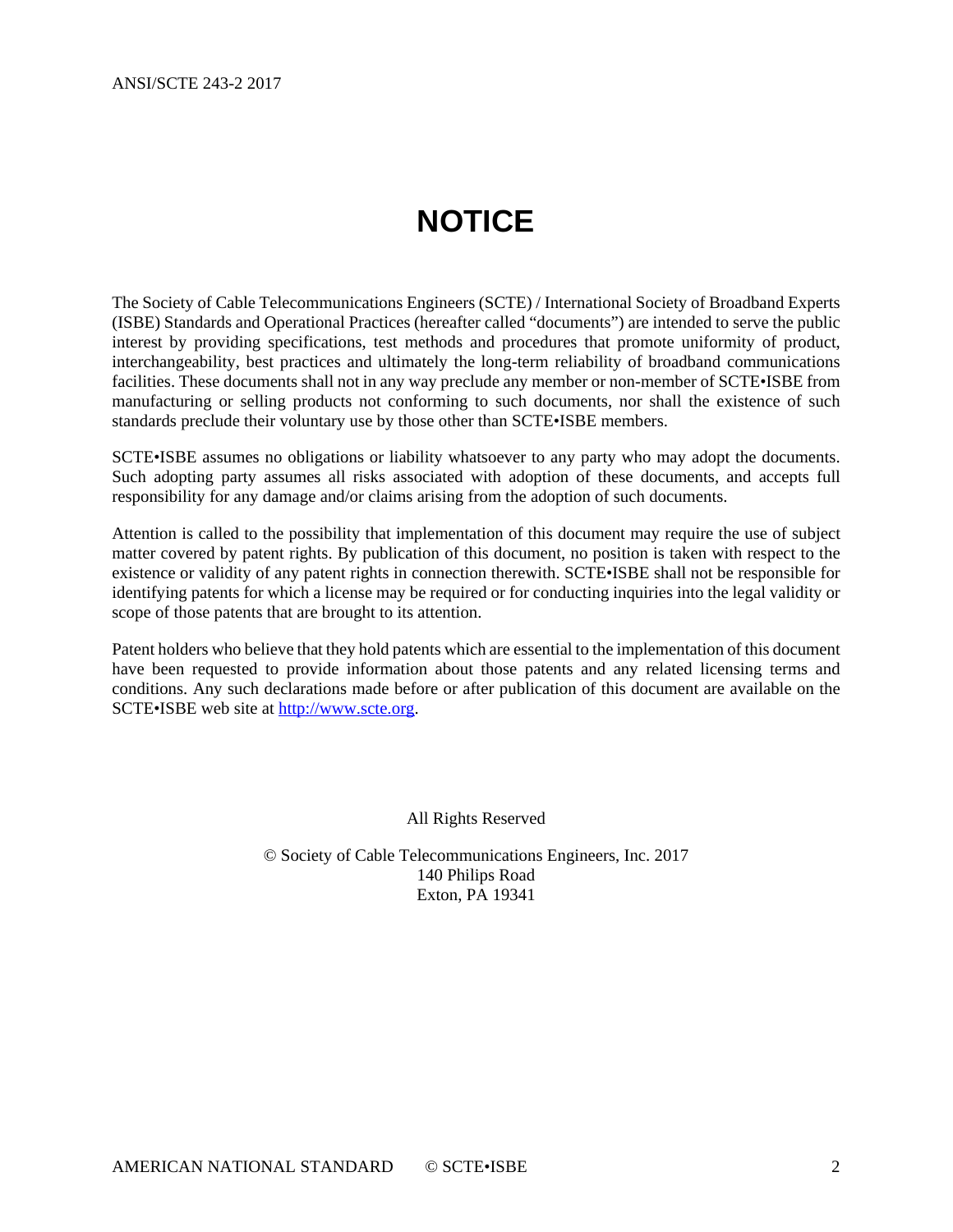# **NOTICE**

<span id="page-1-0"></span>The Society of Cable Telecommunications Engineers (SCTE) / International Society of Broadband Experts (ISBE) Standards and Operational Practices (hereafter called "documents") are intended to serve the public interest by providing specifications, test methods and procedures that promote uniformity of product, interchangeability, best practices and ultimately the long-term reliability of broadband communications facilities. These documents shall not in any way preclude any member or non-member of SCTE•ISBE from manufacturing or selling products not conforming to such documents, nor shall the existence of such standards preclude their voluntary use by those other than SCTE•ISBE members.

SCTE•ISBE assumes no obligations or liability whatsoever to any party who may adopt the documents. Such adopting party assumes all risks associated with adoption of these documents, and accepts full responsibility for any damage and/or claims arising from the adoption of such documents.

Attention is called to the possibility that implementation of this document may require the use of subject matter covered by patent rights. By publication of this document, no position is taken with respect to the existence or validity of any patent rights in connection therewith. SCTE•ISBE shall not be responsible for identifying patents for which a license may be required or for conducting inquiries into the legal validity or scope of those patents that are brought to its attention.

Patent holders who believe that they hold patents which are essential to the implementation of this document have been requested to provide information about those patents and any related licensing terms and conditions. Any such declarations made before or after publication of this document are available on the SCTE•ISBE web site at [http://www.scte.org.](http://www.scte.org/)

All Rights Reserved

© Society of Cable Telecommunications Engineers, Inc. 2017 140 Philips Road Exton, PA 19341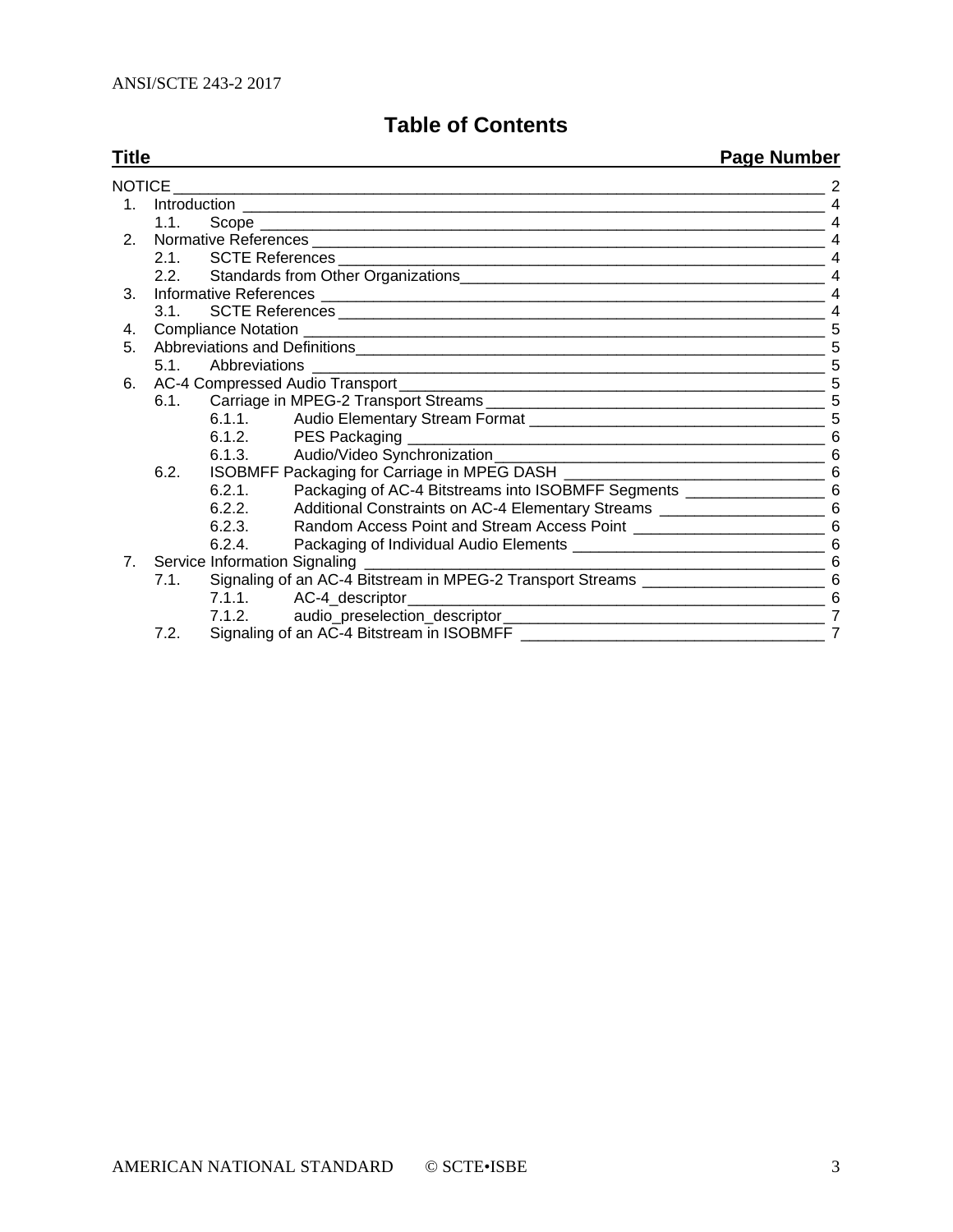# **Table of Contents**

**Title Page Number**

|                                |                                              |        |                                                                                     | <u>i wyd indillwy</u> i |  |
|--------------------------------|----------------------------------------------|--------|-------------------------------------------------------------------------------------|-------------------------|--|
|                                |                                              |        |                                                                                     |                         |  |
| $1_{-}$                        |                                              |        |                                                                                     |                         |  |
|                                | $1.1 -$                                      |        |                                                                                     |                         |  |
| 2 <sub>1</sub>                 |                                              |        |                                                                                     |                         |  |
|                                | $2.1_{-}$                                    |        |                                                                                     |                         |  |
|                                |                                              |        |                                                                                     |                         |  |
| 3.                             |                                              |        |                                                                                     |                         |  |
|                                | $3.1_{-}$                                    |        |                                                                                     |                         |  |
| 4.                             |                                              |        |                                                                                     |                         |  |
| 5.                             |                                              |        |                                                                                     |                         |  |
|                                | 5.1.                                         |        |                                                                                     | -5                      |  |
| 6.                             |                                              |        |                                                                                     |                         |  |
|                                | 6.1.                                         |        |                                                                                     |                         |  |
|                                |                                              | 6.1.1. |                                                                                     |                         |  |
|                                |                                              |        |                                                                                     |                         |  |
|                                |                                              |        |                                                                                     |                         |  |
|                                | 6.2.                                         |        |                                                                                     |                         |  |
|                                |                                              | 6.2.1  | Packaging of AC-4 Bitstreams into ISOBMFF Segments _______________________ 6        |                         |  |
|                                |                                              | 6.2.2. | Additional Constraints on AC-4 Elementary Streams ________________________ 6        |                         |  |
|                                |                                              | 6.2.3. |                                                                                     |                         |  |
|                                |                                              | 6.2.4. |                                                                                     |                         |  |
| $7_{\scriptscriptstyle{\sim}}$ | Service Information Signaling ______________ |        |                                                                                     |                         |  |
|                                | 7.1.                                         |        | Signaling of an AC-4 Bitstream in MPEG-2 Transport Streams ______________________ 6 |                         |  |
|                                |                                              |        | 7.1.1. AC-4_descriptor_                                                             | 6                       |  |
|                                |                                              | 7.1.2. |                                                                                     |                         |  |
|                                | 7.2.                                         |        | Signaling of an AC-4 Bitstream in ISOBMFF ___________                               | $\overline{7}$          |  |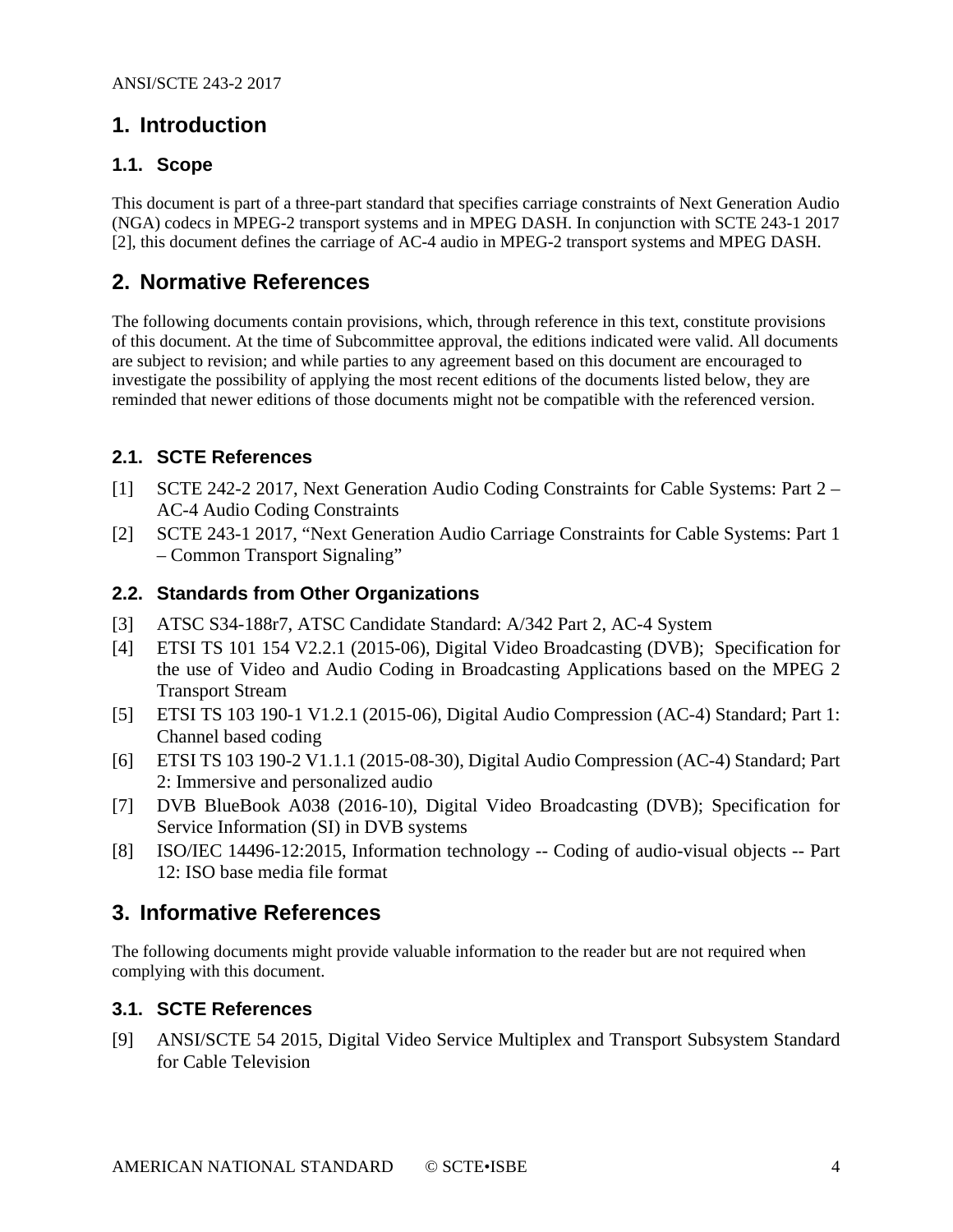## <span id="page-3-0"></span>**1. Introduction**

#### <span id="page-3-1"></span>**1.1. Scope**

This document is part of a three-part standard that specifies carriage constraints of Next Generation Audio (NGA) codecs in MPEG-2 transport systems and in MPEG DASH. In conjunction with SCTE 243-1 2017 [\[2\],](#page-3-7) this document defines the carriage of AC-4 audio in MPEG-2 transport systems and MPEG DASH.

## <span id="page-3-2"></span>**2. Normative References**

The following documents contain provisions, which, through reference in this text, constitute provisions of this document. At the time of Subcommittee approval, the editions indicated were valid. All documents are subject to revision; and while parties to any agreement based on this document are encouraged to investigate the possibility of applying the most recent editions of the documents listed below, they are reminded that newer editions of those documents might not be compatible with the referenced version.

#### <span id="page-3-3"></span>**2.1. SCTE References**

- <span id="page-3-8"></span>[1] SCTE 242-2 2017, Next Generation Audio Coding Constraints for Cable Systems: Part 2 – AC-4 Audio Coding Constraints
- <span id="page-3-7"></span>[2] SCTE 243-1 2017, "Next Generation Audio Carriage Constraints for Cable Systems: Part 1 – Common Transport Signaling"

#### <span id="page-3-4"></span>**2.2. Standards from Other Organizations**

- <span id="page-3-11"></span>[3] ATSC S34-188r7, ATSC Candidate Standard: A/342 Part 2, AC-4 System
- <span id="page-3-10"></span>[4] ETSI TS 101 154 V2.2.1 (2015-06), Digital Video Broadcasting (DVB); Specification for the use of Video and Audio Coding in Broadcasting Applications based on the MPEG 2 Transport Stream
- <span id="page-3-13"></span>[5] ETSI TS 103 190-1 V1.2.1 (2015-06), Digital Audio Compression (AC-4) Standard; Part 1: Channel based coding
- <span id="page-3-9"></span>[6] ETSI TS 103 190-2 V1.1.1 (2015-08-30), Digital Audio Compression (AC-4) Standard; Part 2: Immersive and personalized audio
- <span id="page-3-12"></span>[7] DVB BlueBook A038 (2016-10), Digital Video Broadcasting (DVB); Specification for Service Information (SI) in DVB systems
- <span id="page-3-14"></span>[8] ISO/IEC 14496-12:2015, Information technology -- Coding of audio-visual objects -- Part 12: ISO base media file format

### <span id="page-3-5"></span>**3. Informative References**

The following documents might provide valuable information to the reader but are not required when complying with this document.

#### <span id="page-3-6"></span>**3.1. SCTE References**

[9] ANSI/SCTE 54 2015, Digital Video Service Multiplex and Transport Subsystem Standard for Cable Television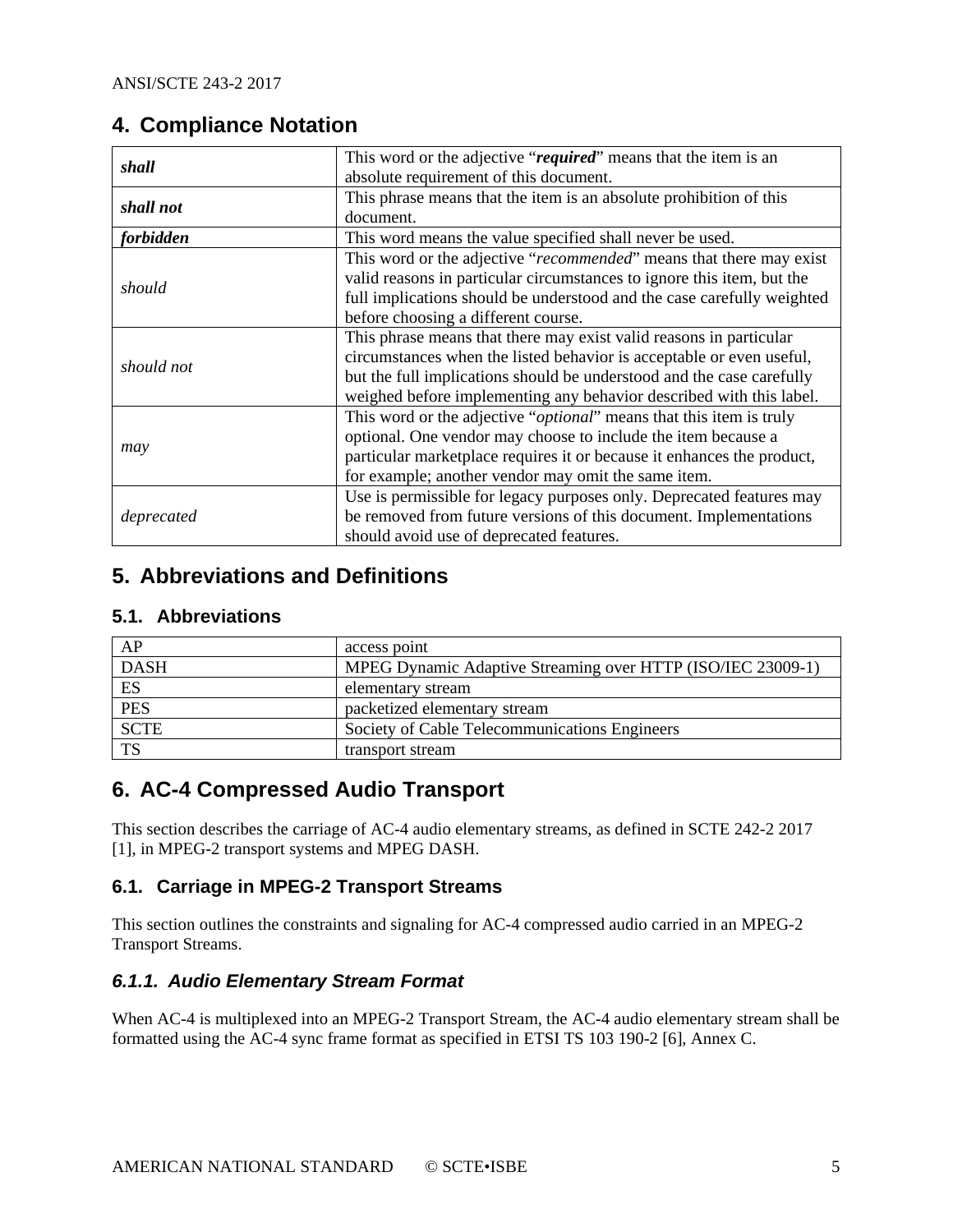# <span id="page-4-0"></span>**4. Compliance Notation**

| shall      | This word or the adjective "required" means that the item is an              |  |  |
|------------|------------------------------------------------------------------------------|--|--|
|            | absolute requirement of this document.                                       |  |  |
| shall not  | This phrase means that the item is an absolute prohibition of this           |  |  |
|            | document.                                                                    |  |  |
| forbidden  | This word means the value specified shall never be used.                     |  |  |
|            | This word or the adjective "recommended" means that there may exist          |  |  |
|            | valid reasons in particular circumstances to ignore this item, but the       |  |  |
| should     | full implications should be understood and the case carefully weighted       |  |  |
|            | before choosing a different course.                                          |  |  |
|            | This phrase means that there may exist valid reasons in particular           |  |  |
| should not | circumstances when the listed behavior is acceptable or even useful,         |  |  |
|            | but the full implications should be understood and the case carefully        |  |  |
|            | weighed before implementing any behavior described with this label.          |  |  |
|            | This word or the adjective " <i>optional</i> " means that this item is truly |  |  |
|            | optional. One vendor may choose to include the item because a                |  |  |
| may        | particular marketplace requires it or because it enhances the product,       |  |  |
|            | for example; another vendor may omit the same item.                          |  |  |
|            | Use is permissible for legacy purposes only. Deprecated features may         |  |  |
| deprecated | be removed from future versions of this document. Implementations            |  |  |
|            | should avoid use of deprecated features.                                     |  |  |

# <span id="page-4-1"></span>**5. Abbreviations and Definitions**

#### <span id="page-4-2"></span>**5.1. Abbreviations**

| AP          | access point                                                |
|-------------|-------------------------------------------------------------|
| <b>DASH</b> | MPEG Dynamic Adaptive Streaming over HTTP (ISO/IEC 23009-1) |
| ES          | elementary stream                                           |
| <b>PES</b>  | packetized elementary stream                                |
| <b>SCTE</b> | Society of Cable Telecommunications Engineers               |
| <b>TS</b>   | transport stream                                            |

# <span id="page-4-3"></span>**6. AC-4 Compressed Audio Transport**

This section describes the carriage of AC-4 audio elementary streams, as defined in SCTE 242-2 2017 [\[1\],](#page-3-8) in MPEG-2 transport systems and MPEG DASH.

#### <span id="page-4-4"></span>**6.1. Carriage in MPEG-2 Transport Streams**

This section outlines the constraints and signaling for AC-4 compressed audio carried in an MPEG-2 Transport Streams.

#### <span id="page-4-5"></span>*6.1.1. Audio Elementary Stream Format*

When AC-4 is multiplexed into an MPEG-2 Transport Stream, the AC-4 audio elementary stream shall be formatted using the AC-4 sync frame format as specified in ETSI TS 103 190-2 [\[6\],](#page-3-9) Annex C.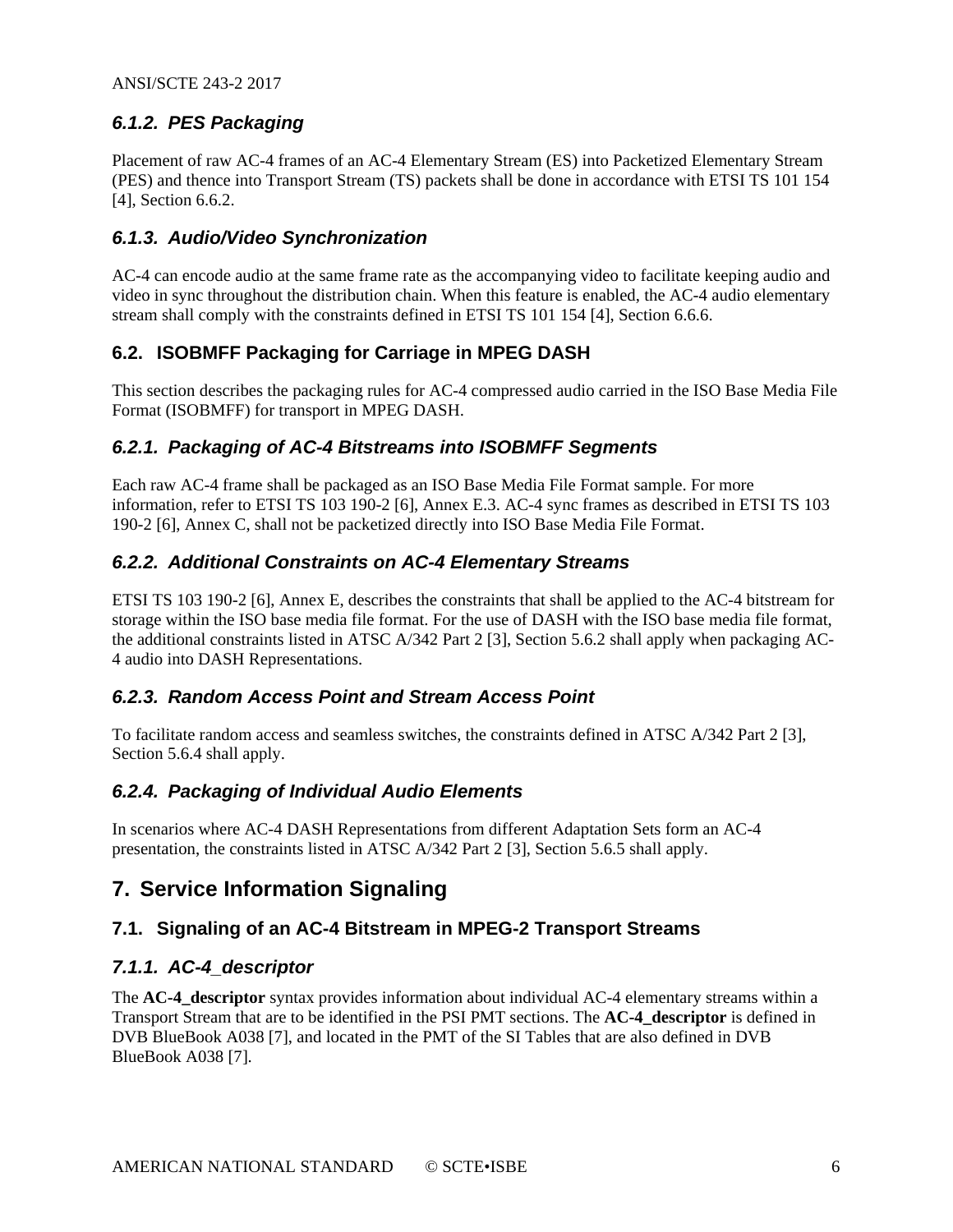#### <span id="page-5-0"></span>*6.1.2. PES Packaging*

Placement of raw AC-4 frames of an AC-4 Elementary Stream (ES) into Packetized Elementary Stream (PES) and thence into Transport Stream (TS) packets shall be done in accordance with ETSI TS 101 154 [\[4\],](#page-3-10) Section 6.6.2.

#### <span id="page-5-1"></span>*6.1.3. Audio/Video Synchronization*

AC-4 can encode audio at the same frame rate as the accompanying video to facilitate keeping audio and video in sync throughout the distribution chain. When this feature is enabled, the AC-4 audio elementary stream shall comply with the constraints defined in ETSI TS 101 154 [\[4\],](#page-3-10) Section 6.6.6.

#### <span id="page-5-2"></span>**6.2. ISOBMFF Packaging for Carriage in MPEG DASH**

This section describes the packaging rules for AC-4 compressed audio carried in the ISO Base Media File Format (ISOBMFF) for transport in MPEG DASH.

#### <span id="page-5-3"></span>*6.2.1. Packaging of AC-4 Bitstreams into ISOBMFF Segments*

Each raw AC-4 frame shall be packaged as an ISO Base Media File Format sample. For more information, refer to ETSI TS 103 190-2 [\[6\],](#page-3-9) Annex E.3. AC-4 sync frames as described in ETSI TS 103 190-2 [\[6\],](#page-3-9) Annex C, shall not be packetized directly into ISO Base Media File Format.

#### <span id="page-5-4"></span>*6.2.2. Additional Constraints on AC-4 Elementary Streams*

ETSI TS 103 190-2 [\[6\],](#page-3-9) Annex E, describes the constraints that shall be applied to the AC-4 bitstream for storage within the ISO base media file format. For the use of DASH with the ISO base media file format, the additional constraints listed in ATSC A/342 Part 2 [\[3\],](#page-3-11) Section 5.6.2 shall apply when packaging AC-4 audio into DASH Representations.

#### <span id="page-5-5"></span>*6.2.3. Random Access Point and Stream Access Point*

To facilitate random access and seamless switches, the constraints defined in ATSC A/342 Part [2 \[3\],](#page-3-11) Section 5.6.4 shall apply.

#### <span id="page-5-6"></span>*6.2.4. Packaging of Individual Audio Elements*

In scenarios where AC-4 DASH Representations from different Adaptation Sets form an AC-4 presentation, the constraints listed in ATSC A/342 Part 2 [\[3\],](#page-3-11) Section 5.6.5 shall apply.

# <span id="page-5-7"></span>**7. Service Information Signaling**

#### <span id="page-5-8"></span>**7.1. Signaling of an AC-4 Bitstream in MPEG-2 Transport Streams**

#### <span id="page-5-9"></span>*7.1.1. AC-4\_descriptor*

The **AC-4\_descriptor** syntax provides information about individual AC-4 elementary streams within a Transport Stream that are to be identified in the PSI PMT sections. The **AC-4\_descriptor** is defined in DVB BlueBook A038 [\[7\],](#page-3-12) and located in the PMT of the SI Tables that are also defined in DVB BlueBook A038 [\[7\].](#page-3-12)